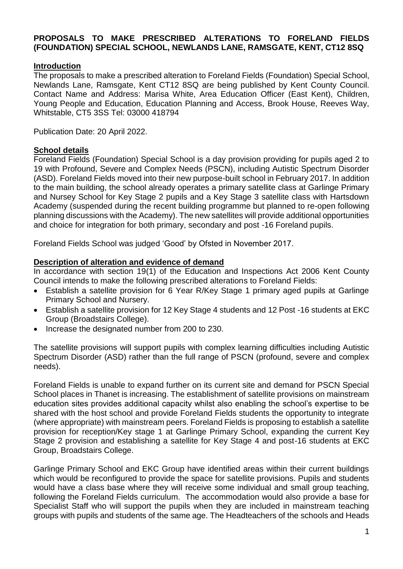## **PROPOSALS TO MAKE PRESCRIBED ALTERATIONS TO FORELAND FIELDS (FOUNDATION) SPECIAL SCHOOL, NEWLANDS LANE, RAMSGATE, KENT, CT12 8SQ**

## **Introduction**

The proposals to make a prescribed alteration to Foreland Fields (Foundation) Special School, Newlands Lane, Ramsgate, Kent CT12 8SQ are being published by Kent County Council. Contact Name and Address: Marisa White, Area Education Officer (East Kent), Children, Young People and Education, Education Planning and Access, Brook House, Reeves Way, Whitstable, CT5 3SS Tel: 03000 418794

Publication Date: 20 April 2022.

#### **School details**

Foreland Fields (Foundation) Special School is a day provision providing for pupils aged 2 to 19 with Profound, Severe and Complex Needs (PSCN), including Autistic Spectrum Disorder (ASD). Foreland Fields moved into their new purpose-built school in February 2017. In addition to the main building, the school already operates a primary satellite class at Garlinge Primary and Nursey School for Key Stage 2 pupils and a Key Stage 3 satellite class with Hartsdown Academy (suspended during the recent building programme but planned to re-open following planning discussions with the Academy). The new satellites will provide additional opportunities and choice for integration for both primary, secondary and post -16 Foreland pupils.

Foreland Fields School was judged 'Good' by Ofsted in November 2017.

#### **Description of alteration and evidence of demand**

In accordance with section 19(1) of the Education and Inspections Act 2006 Kent County Council intends to make the following prescribed alterations to Foreland Fields:

- Establish a satellite provision for 6 Year R/Key Stage 1 primary aged pupils at Garlinge Primary School and Nursery.
- Establish a satellite provision for 12 Key Stage 4 students and 12 Post -16 students at EKC Group (Broadstairs College).
- Increase the designated number from 200 to 230.

The satellite provisions will support pupils with complex learning difficulties including Autistic Spectrum Disorder (ASD) rather than the full range of PSCN (profound, severe and complex needs).

Foreland Fields is unable to expand further on its current site and demand for PSCN Special School places in Thanet is increasing. The establishment of satellite provisions on mainstream education sites provides additional capacity whilst also enabling the school's expertise to be shared with the host school and provide Foreland Fields students the opportunity to integrate (where appropriate) with mainstream peers. Foreland Fields is proposing to establish a satellite provision for reception/Key stage 1 at Garlinge Primary School, expanding the current Key Stage 2 provision and establishing a satellite for Key Stage 4 and post-16 students at EKC Group, Broadstairs College.

Garlinge Primary School and EKC Group have identified areas within their current buildings which would be reconfigured to provide the space for satellite provisions. Pupils and students would have a class base where they will receive some individual and small group teaching, following the Foreland Fields curriculum. The accommodation would also provide a base for Specialist Staff who will support the pupils when they are included in mainstream teaching groups with pupils and students of the same age. The Headteachers of the schools and Heads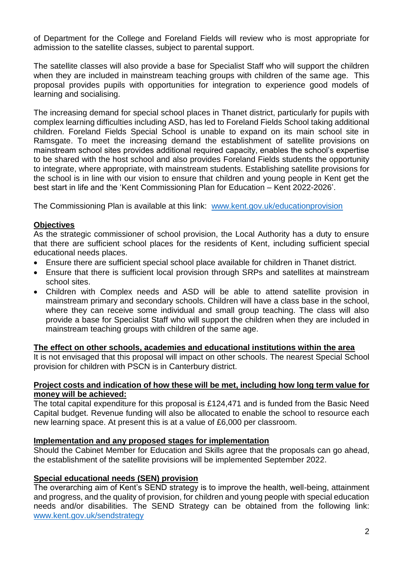of Department for the College and Foreland Fields will review who is most appropriate for admission to the satellite classes, subject to parental support.

The satellite classes will also provide a base for Specialist Staff who will support the children when they are included in mainstream teaching groups with children of the same age. This proposal provides pupils with opportunities for integration to experience good models of learning and socialising.

The increasing demand for special school places in Thanet district, particularly for pupils with complex learning difficulties including ASD, has led to Foreland Fields School taking additional children. Foreland Fields Special School is unable to expand on its main school site in Ramsgate. To meet the increasing demand the establishment of satellite provisions on mainstream school sites provides additional required capacity, enables the school's expertise to be shared with the host school and also provides Foreland Fields students the opportunity to integrate, where appropriate, with mainstream students. Establishing satellite provisions for the school is in line with our vision to ensure that children and young people in Kent get the best start in life and the 'Kent Commissioning Plan for Education – Kent 2022-2026'.

The Commissioning Plan is available at this link: [www.kent.gov.uk/educationprovision](http://www.kent.gov.uk/educationprovision)

## **Objectives**

As the strategic commissioner of school provision, the Local Authority has a duty to ensure that there are sufficient school places for the residents of Kent, including sufficient special educational needs places.

- Ensure there are sufficient special school place available for children in Thanet district.
- Ensure that there is sufficient local provision through SRPs and satellites at mainstream school sites.
- Children with Complex needs and ASD will be able to attend satellite provision in mainstream primary and secondary schools. Children will have a class base in the school, where they can receive some individual and small group teaching. The class will also provide a base for Specialist Staff who will support the children when they are included in mainstream teaching groups with children of the same age.

#### **The effect on other schools, academies and educational institutions within the area**

It is not envisaged that this proposal will impact on other schools. The nearest Special School provision for children with PSCN is in Canterbury district.

#### **Project costs and indication of how these will be met, including how long term value for money will be achieved:**

The total capital expenditure for this proposal is £124,471 and is funded from the Basic Need Capital budget. Revenue funding will also be allocated to enable the school to resource each new learning space. At present this is at a value of £6,000 per classroom.

#### **Implementation and any proposed stages for implementation**

Should the Cabinet Member for Education and Skills agree that the proposals can go ahead, the establishment of the satellite provisions will be implemented September 2022.

#### **Special educational needs (SEN) provision**

The overarching aim of Kent's SEND strategy is to improve the health, well-being, attainment and progress, and the quality of provision, for children and young people with special education needs and/or disabilities. The SEND Strategy can be obtained from the following link: [www.kent.gov.uk/sendstrategy](http://www.kent.gov.uk/sendstrategy)